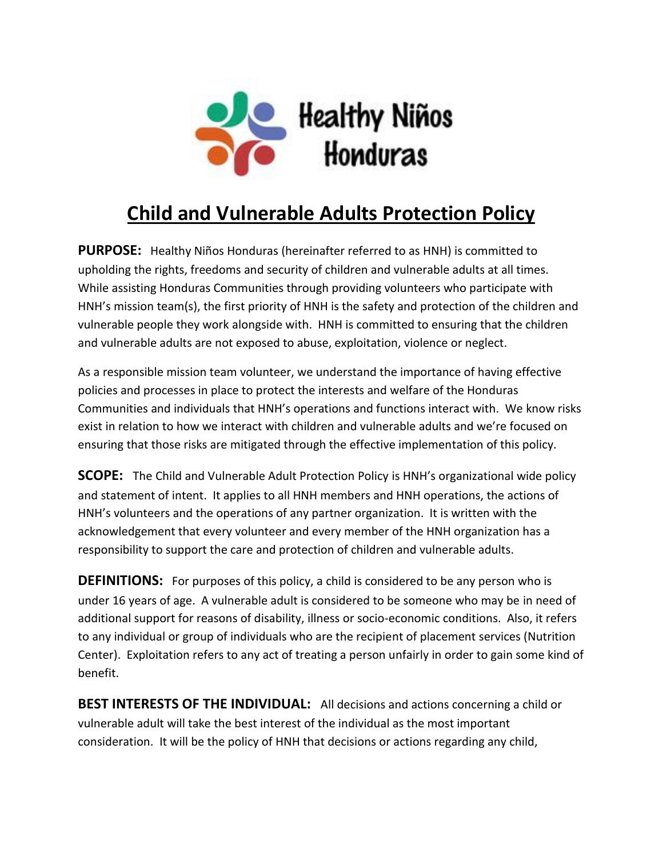

## **Child and Vulnerable Adults Protection Policy**

**PURPOSE:** Healthy Niños Honduras (hereinafter referred to as HNH) is committed to upholding the rights, freedoms and security of children and vulnerable adults at all times. While assisting Honduras Communities through providing volunteers who participate with HNH's mission team(s), the first priority of HNH is the safety and protection of the children and vulnerable people they work alongside with. HNH is committed to ensuring that the children and vulnerable adults are not exposed to abuse, exploitation, violence or neglect.

As a responsible mission team volunteer, we understand the importance of having effective policies and processes in place to protect the interests and welfare of the Honduras Communities and individuals that HNH's operations and functions interact with. We know risks exist in relation to how we interact with children and vulnerable adults and we're focused on ensuring that those risks are mitigated through the effective implementation of this policy.

**SCOPE:** The Child and Vulnerable Adult Protection Policy is HNH's organizational wide policy and statement of intent. It applies to all HNH members and HNH operations, the actions of HNH's volunteers and the operations of any partner organization. It is written with the acknowledgement that every volunteer and every member of the HNH organization has a responsibility to support the care and protection of children and vulnerable adults.

**DEFINITIONS:** For purposes of this policy, a child is considered to be any person who is under 16 years of age. A vulnerable adult is considered to be someone who may be in need of additional support for reasons of disability, illness or socio-economic conditions. Also, it refers to any individual or group of individuals who are the recipient of placement services (Nutrition Center). Exploitation refers to any act of treating a person unfairly in order to gain some kind of benefit.

**BEST INTERESTS OF THE INDIVIDUAL:** All decisions and actions concerning a child or vulnerable adult will take the best interest of the individual as the most important consideration. It will be the policy of HNH that decisions or actions regarding any child,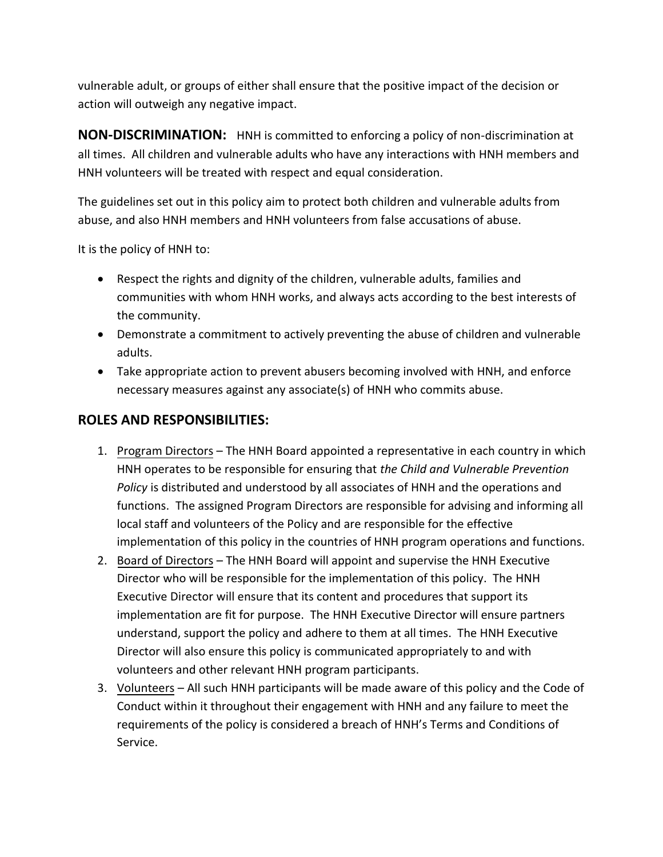vulnerable adult, or groups of either shall ensure that the positive impact of the decision or action will outweigh any negative impact.

**NON-DISCRIMINATION:** HNH is committed to enforcing a policy of non-discrimination at all times. All children and vulnerable adults who have any interactions with HNH members and HNH volunteers will be treated with respect and equal consideration.

The guidelines set out in this policy aim to protect both children and vulnerable adults from abuse, and also HNH members and HNH volunteers from false accusations of abuse.

It is the policy of HNH to:

- Respect the rights and dignity of the children, vulnerable adults, families and communities with whom HNH works, and always acts according to the best interests of the community.
- Demonstrate a commitment to actively preventing the abuse of children and vulnerable adults.
- Take appropriate action to prevent abusers becoming involved with HNH, and enforce necessary measures against any associate(s) of HNH who commits abuse.

## **ROLES AND RESPONSIBILITIES:**

- 1. Program Directors The HNH Board appointed a representative in each country in which HNH operates to be responsible for ensuring that *the Child and Vulnerable Prevention Policy* is distributed and understood by all associates of HNH and the operations and functions. The assigned Program Directors are responsible for advising and informing all local staff and volunteers of the Policy and are responsible for the effective implementation of this policy in the countries of HNH program operations and functions.
- 2. Board of Directors The HNH Board will appoint and supervise the HNH Executive Director who will be responsible for the implementation of this policy. The HNH Executive Director will ensure that its content and procedures that support its implementation are fit for purpose. The HNH Executive Director will ensure partners understand, support the policy and adhere to them at all times. The HNH Executive Director will also ensure this policy is communicated appropriately to and with volunteers and other relevant HNH program participants.
- 3. Volunteers All such HNH participants will be made aware of this policy and the Code of Conduct within it throughout their engagement with HNH and any failure to meet the requirements of the policy is considered a breach of HNH's Terms and Conditions of Service.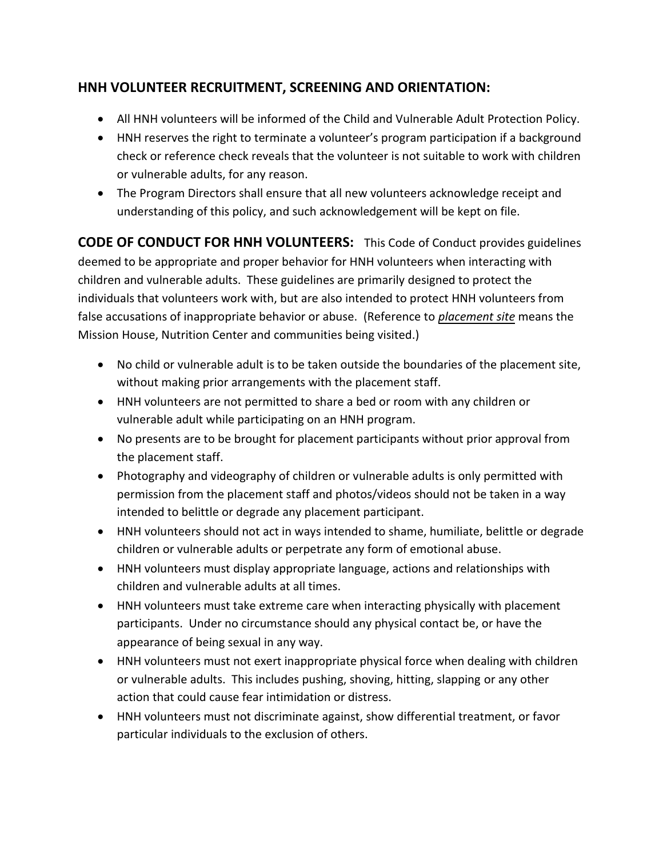## **HNH VOLUNTEER RECRUITMENT, SCREENING AND ORIENTATION:**

- All HNH volunteers will be informed of the Child and Vulnerable Adult Protection Policy.
- HNH reserves the right to terminate a volunteer's program participation if a background check or reference check reveals that the volunteer is not suitable to work with children or vulnerable adults, for any reason.
- The Program Directors shall ensure that all new volunteers acknowledge receipt and understanding of this policy, and such acknowledgement will be kept on file.

**CODE OF CONDUCT FOR HNH VOLUNTEERS:** This Code of Conduct provides guidelines deemed to be appropriate and proper behavior for HNH volunteers when interacting with children and vulnerable adults. These guidelines are primarily designed to protect the individuals that volunteers work with, but are also intended to protect HNH volunteers from false accusations of inappropriate behavior or abuse. (Reference to *placement site* means the Mission House, Nutrition Center and communities being visited.)

- No child or vulnerable adult is to be taken outside the boundaries of the placement site, without making prior arrangements with the placement staff.
- HNH volunteers are not permitted to share a bed or room with any children or vulnerable adult while participating on an HNH program.
- No presents are to be brought for placement participants without prior approval from the placement staff.
- Photography and videography of children or vulnerable adults is only permitted with permission from the placement staff and photos/videos should not be taken in a way intended to belittle or degrade any placement participant.
- HNH volunteers should not act in ways intended to shame, humiliate, belittle or degrade children or vulnerable adults or perpetrate any form of emotional abuse.
- HNH volunteers must display appropriate language, actions and relationships with children and vulnerable adults at all times.
- HNH volunteers must take extreme care when interacting physically with placement participants. Under no circumstance should any physical contact be, or have the appearance of being sexual in any way.
- HNH volunteers must not exert inappropriate physical force when dealing with children or vulnerable adults. This includes pushing, shoving, hitting, slapping or any other action that could cause fear intimidation or distress.
- HNH volunteers must not discriminate against, show differential treatment, or favor particular individuals to the exclusion of others.